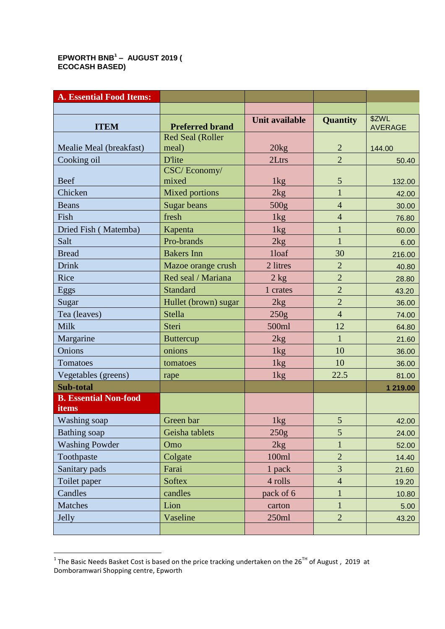## **EPWORTH BNB<sup>1</sup> – AUGUST 2019 ( ECOCASH BASED)**

| <b>A. Essential Food Items:</b>       |                         |                       |                 |                         |
|---------------------------------------|-------------------------|-----------------------|-----------------|-------------------------|
|                                       |                         |                       |                 |                         |
| <b>ITEM</b>                           | <b>Preferred brand</b>  | <b>Unit available</b> | <b>Quantity</b> | \$ZWL<br><b>AVERAGE</b> |
|                                       | <b>Red Seal (Roller</b> |                       |                 |                         |
| Mealie Meal (breakfast)               | meal)                   | 20kg                  | $\overline{2}$  | 144.00                  |
| Cooking oil                           | <b>D'lite</b>           | 2Ltrs                 | $\overline{2}$  | 50.40                   |
| <b>Beef</b>                           | CSC/Economy/<br>mixed   | 1kg                   | 5               | 132.00                  |
| Chicken                               | <b>Mixed portions</b>   | 2kg                   | 1               | 42.00                   |
| <b>Beans</b>                          | <b>Sugar beans</b>      | 500 <sub>g</sub>      | $\overline{4}$  | 30.00                   |
| Fish                                  | fresh                   | 1kg                   | $\overline{4}$  | 76.80                   |
| Dried Fish (Matemba)                  | Kapenta                 | 1kg                   | $\mathbf{1}$    | 60.00                   |
| Salt                                  | Pro-brands              | 2kg                   | $\mathbf{1}$    | 6.00                    |
| <b>Bread</b>                          | <b>Bakers</b> Inn       | 1loaf                 | 30              | 216.00                  |
| <b>Drink</b>                          | Mazoe orange crush      | 2 litres              | $\overline{2}$  | 40.80                   |
| Rice                                  | Red seal / Mariana      | $2$ kg                | $\overline{2}$  | 28.80                   |
| Eggs                                  | <b>Standard</b>         | 1 crates              | $\overline{2}$  | 43.20                   |
| Sugar                                 | Hullet (brown) sugar    | 2kg                   | $\overline{2}$  | 36.00                   |
| Tea (leaves)                          | <b>Stella</b>           | 250g                  | $\overline{4}$  | 74.00                   |
| <b>Milk</b>                           | Steri                   | 500ml                 | 12              | 64.80                   |
| Margarine                             | <b>Buttercup</b>        | 2kg                   | $\mathbf{1}$    | 21.60                   |
| Onions                                | onions                  | 1kg                   | 10              | 36.00                   |
| Tomatoes                              | tomatoes                | 1 <sub>kg</sub>       | 10              | 36.00                   |
| Vegetables (greens)                   | rape                    | 1 <sub>kg</sub>       | 22.5            | 81.00                   |
| <b>Sub-total</b>                      |                         |                       |                 | 1 219.00                |
| <b>B. Essential Non-food</b><br>items |                         |                       |                 |                         |
| Washing soap                          | Green bar               | 1kg                   | 5               | 42.00                   |
| <b>Bathing</b> soap                   | Geisha tablets          | 250g                  | 5               | 24.00                   |
| <b>Washing Powder</b>                 | Omo                     | 2kg                   | $\mathbf{1}$    | 52.00                   |
| Toothpaste                            | Colgate                 | 100ml                 | $\overline{2}$  | 14.40                   |
| Sanitary pads                         | Farai                   | 1 pack                | $\mathfrak{Z}$  | 21.60                   |
| Toilet paper                          | <b>Softex</b>           | 4 rolls               | $\overline{4}$  | 19.20                   |
| Candles                               | candles                 | pack of 6             | $\mathbf{1}$    | 10.80                   |
| Matches                               | Lion                    | carton                | $\mathbf{1}$    | 5.00                    |
| Jelly                                 | Vaseline                | 250ml                 | $\overline{2}$  | 43.20                   |
|                                       |                         |                       |                 |                         |

 1 The Basic Needs Basket Cost is based on the price tracking undertaken on the 26TH of August , 2019 at Domboramwari Shopping centre, Epworth